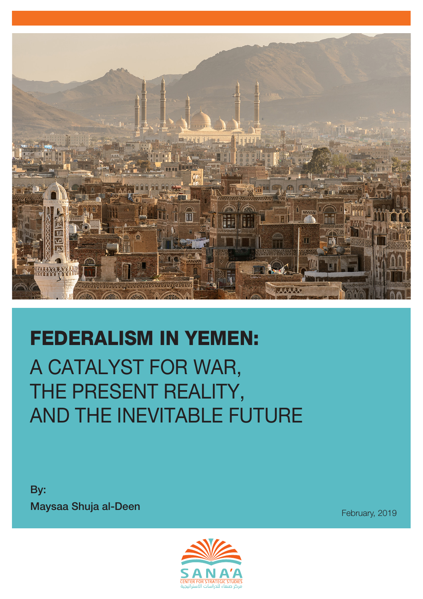

# FEDERALISM IN YEMEN: A CATALYST FOR WAR, THE PRESENT REALITY, AND THE INEVITABLE FUTURE

By: **Maysaa Shuja al-Deen** February, 2019

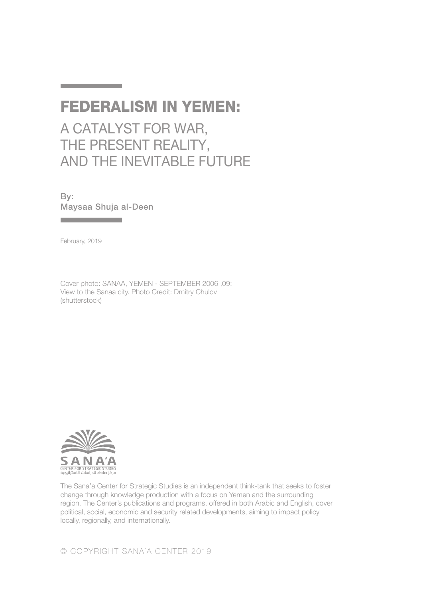### FEDERALISM IN YEMEN:

A CATALYST FOR WAR, THE PRESENT REALITY, AND THE INEVITABLE FUTURE

By: Maysaa Shuja al-Deen

**Contract Contract Contract Contract** 

February, 2019

**The Committee Committee** 

Cover photo: SANAA, YEMEN - SEPTEMBER 2006 ,09: View to the Sanaa city. Photo Credit: Dmitry Chulov (shutterstock)



The Sana'a Center for Strategic Studies is an independent think-tank that seeks to foster change through knowledge production with a focus on Yemen and the surrounding region. The Center's publications and programs, offered in both Arabic and English, cover political, social, economic and security related developments, aiming to impact policy locally, regionally, and internationally.

© COPYRIGHT SANA´A CENTER 2019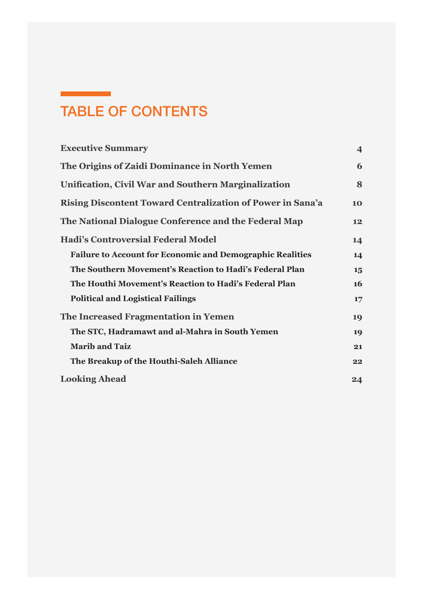## TABLE OF CONTENTS

<u> Tan</u>

| <b>Executive Summary</b>                                         | $\overline{\mathbf{4}}$ |
|------------------------------------------------------------------|-------------------------|
| The Origins of Zaidi Dominance in North Yemen                    | 6                       |
| <b>Unification, Civil War and Southern Marginalization</b>       | 8                       |
| Rising Discontent Toward Centralization of Power in Sana'a       | 10                      |
| The National Dialogue Conference and the Federal Map             | 12                      |
| <b>Hadi's Controversial Federal Model</b>                        | 14                      |
| <b>Failure to Account for Economic and Demographic Realities</b> | 14                      |
| The Southern Movement's Reaction to Hadi's Federal Plan          | 15                      |
| The Houthi Movement's Reaction to Hadi's Federal Plan            | <b>16</b>               |
| <b>Political and Logistical Failings</b>                         | 17                      |
| The Increased Fragmentation in Yemen                             | 19                      |
| The STC, Hadramawt and al-Mahra in South Yemen                   | 19                      |
| <b>Marib and Taiz</b>                                            | 21                      |
| The Breakup of the Houthi-Saleh Alliance                         | 22                      |
| <b>Looking Ahead</b>                                             | 24                      |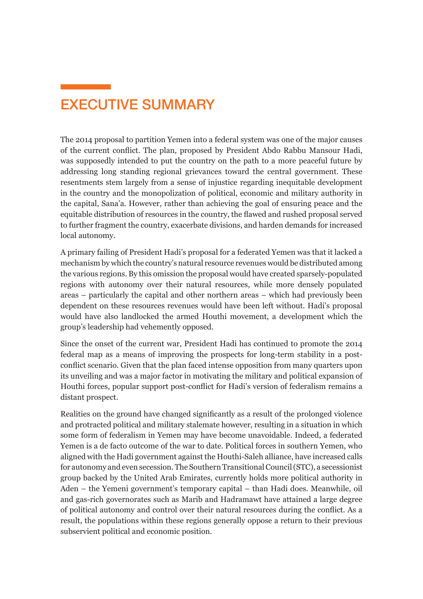### <span id="page-3-0"></span>EXECUTIVE SUMMARY

The 2014 proposal to partition Yemen into a federal system was one of the major causes of the current conflict. The plan, proposed by President Abdo Rabbu Mansour Hadi, was supposedly intended to put the country on the path to a more peaceful future by addressing long standing regional grievances toward the central government. These resentments stem largely from a sense of injustice regarding inequitable development in the country and the monopolization of political, economic and military authority in the capital, Sana'a. However, rather than achieving the goal of ensuring peace and the equitable distribution of resources in the country, the flawed and rushed proposal served to further fragment the country, exacerbate divisions, and harden demands for increased local autonomy.

A primary failing of President Hadi's proposal for a federated Yemen was that it lacked a mechanism by which the country's natural resource revenues would be distributed among the various regions. By this omission the proposal would have created sparsely-populated regions with autonomy over their natural resources, while more densely populated areas – particularly the capital and other northern areas – which had previously been dependent on these resources revenues would have been left without. Hadi's proposal would have also landlocked the armed Houthi movement, a development which the group's leadership had vehemently opposed.

Since the onset of the current war, President Hadi has continued to promote the 2014 federal map as a means of improving the prospects for long-term stability in a postconflict scenario. Given that the plan faced intense opposition from many quarters upon its unveiling and was a major factor in motivating the military and political expansion of Houthi forces, popular support post-conflict for Hadi's version of federalism remains a distant prospect.

Realities on the ground have changed significantly as a result of the prolonged violence and protracted political and military stalemate however, resulting in a situation in which some form of federalism in Yemen may have become unavoidable. Indeed, a federated Yemen is a de facto outcome of the war to date. Political forces in southern Yemen, who aligned with the Hadi government against the Houthi-Saleh alliance, have increased calls for autonomy and even secession. The Southern Transitional Council (STC), a secessionist group backed by the United Arab Emirates, currently holds more political authority in Aden – the Yemeni government's temporary capital – than Hadi does. Meanwhile, oil and gas-rich governorates such as Marib and Hadramawt have attained a large degree of political autonomy and control over their natural resources during the conflict. As a result, the populations within these regions generally oppose a return to their previous subservient political and economic position.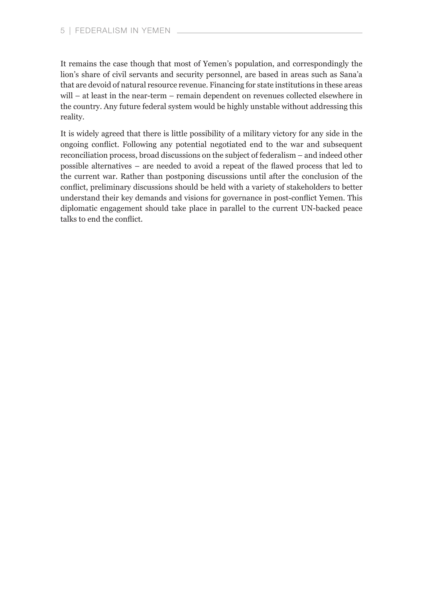It remains the case though that most of Yemen's population, and correspondingly the lion's share of civil servants and security personnel, are based in areas such as Sana'a that are devoid of natural resource revenue. Financing for state institutions in these areas will – at least in the near-term – remain dependent on revenues collected elsewhere in the country. Any future federal system would be highly unstable without addressing this reality.

It is widely agreed that there is little possibility of a military victory for any side in the ongoing conflict. Following any potential negotiated end to the war and subsequent reconciliation process, broad discussions on the subject of federalism – and indeed other possible alternatives – are needed to avoid a repeat of the flawed process that led to the current war. Rather than postponing discussions until after the conclusion of the conflict, preliminary discussions should be held with a variety of stakeholders to better understand their key demands and visions for governance in post-conflict Yemen. This diplomatic engagement should take place in parallel to the current UN-backed peace talks to end the conflict.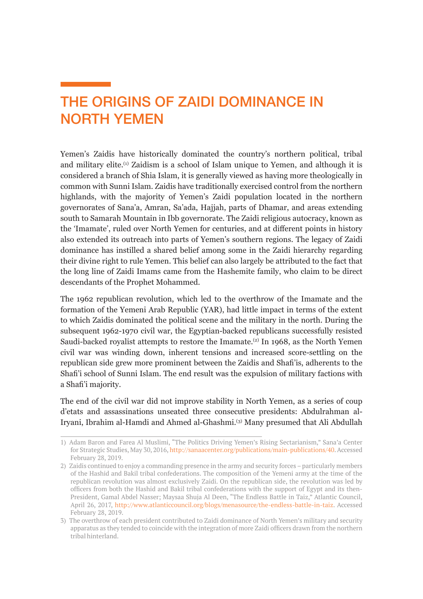### <span id="page-5-0"></span>THE ORIGINS OF ZAIDI DOMINANCE IN NORTH YEMEN

Yemen's Zaidis have historically dominated the country's northern political, tribal and military elite.(1) Zaidism is a school of Islam unique to Yemen, and although it is considered a branch of Shia Islam, it is generally viewed as having more theologically in common with Sunni Islam. Zaidis have traditionally exercised control from the northern highlands, with the majority of Yemen's Zaidi population located in the northern governorates of Sana'a, Amran, Sa'ada, Hajjah, parts of Dhamar, and areas extending south to Samarah Mountain in Ibb governorate. The Zaidi religious autocracy, known as the 'Imamate', ruled over North Yemen for centuries, and at different points in history also extended its outreach into parts of Yemen's southern regions. The legacy of Zaidi dominance has instilled a shared belief among some in the Zaidi hierarchy regarding their divine right to rule Yemen. This belief can also largely be attributed to the fact that the long line of Zaidi Imams came from the Hashemite family, who claim to be direct descendants of the Prophet Mohammed.

The 1962 republican revolution, which led to the overthrow of the Imamate and the formation of the Yemeni Arab Republic (YAR), had little impact in terms of the extent to which Zaidis dominated the political scene and the military in the north. During the subsequent 1962-1970 civil war, the Egyptian-backed republicans successfully resisted Saudi-backed royalist attempts to restore the Imamate.<sup>(2)</sup> In 1968, as the North Yemen civil war was winding down, inherent tensions and increased score-settling on the republican side grew more prominent between the Zaidis and Shafi'is, adherents to the Shafi'i school of Sunni Islam. The end result was the expulsion of military factions with a Shafi'i majority.

The end of the civil war did not improve stability in North Yemen, as a series of coup d'etats and assassinations unseated three consecutive presidents: Abdulrahman al-Iryani, Ibrahim al-Hamdi and Ahmed al-Ghashmi.<sup>(3)</sup> Many presumed that Ali Abdullah

<sup>1)</sup> Adam Baron and Farea Al Muslimi, "The Politics Driving Yemen's Rising Sectarianism," Sana'a Center for Strategic Studies, May 30, 2016, [http://sanaacenter.org/publications/main-publications/40.](http://sanaacenter.org/publications/main-publications/40) Accessed February 28, 2019.

<sup>2)</sup> Zaidis continued to enjoy a commanding presence in the army and security forces – particularly members of the Hashid and Bakil tribal confederations. The composition of the Yemeni army at the time of the republican revolution was almost exclusively Zaidi. On the republican side, the revolution was led by officers from both the Hashid and Bakil tribal confederations with the support of Egypt and its then-President, Gamal Abdel Nasser; Maysaa Shuja Al Deen, "The Endless Battle in Taiz," Atlantic Council, April 26, 2017, <http://www.atlanticcouncil.org/blogs/menasource/the-endless-battle-in-taiz>. Accessed February 28, 2019.

<sup>3)</sup> The overthrow of each president contributed to Zaidi dominance of North Yemen's military and security apparatus as they tended to coincide with the integration of more Zaidi officers drawn from the northern tribal hinterland.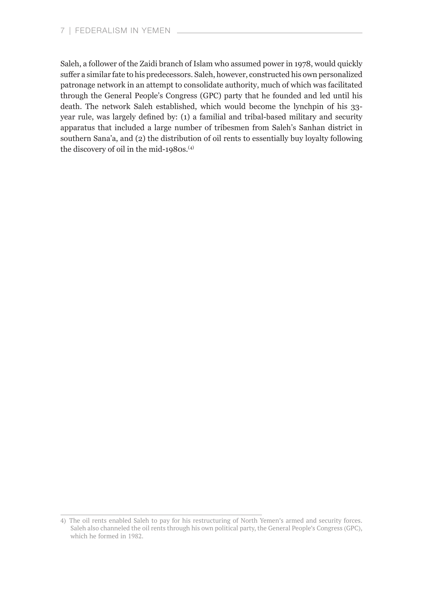Saleh, a follower of the Zaidi branch of Islam who assumed power in 1978, would quickly suffer a similar fate to his predecessors. Saleh, however, constructed his own personalized patronage network in an attempt to consolidate authority, much of which was facilitated through the General People's Congress (GPC) party that he founded and led until his death. The network Saleh established, which would become the lynchpin of his 33 year rule, was largely defined by: (1) a familial and tribal-based military and security apparatus that included a large number of tribesmen from Saleh's Sanhan district in southern Sana'a, and (2) the distribution of oil rents to essentially buy loyalty following the discovery of oil in the mid-1980s.<sup>(4)</sup>

<sup>4)</sup> The oil rents enabled Saleh to pay for his restructuring of North Yemen's armed and security forces. Saleh also channeled the oil rents through his own political party, the General People's Congress (GPC), which he formed in 1982.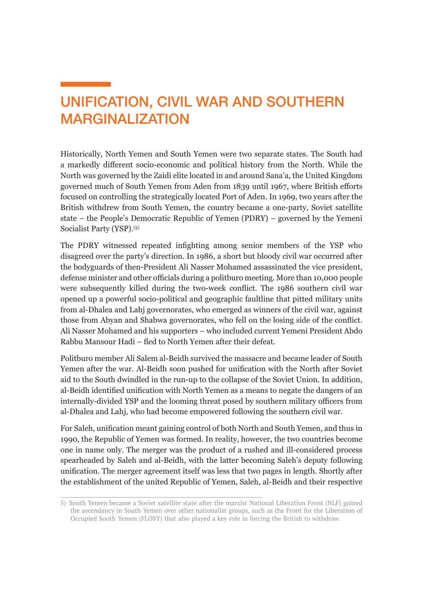### <span id="page-7-0"></span>UNIFICATION, CIVIL WAR AND SOUTHERN MARGINALIZATION

Historically, North Yemen and South Yemen were two separate states. The South had a markedly different socio-economic and political history from the North. While the North was governed by the Zaidi elite located in and around Sana'a, the United Kingdom governed much of South Yemen from Aden from 1839 until 1967, where British efforts focused on controlling the strategically located Port of Aden. In 1969, two years after the British withdrew from South Yemen, the country became a one-party, Soviet satellite state – the People's Democratic Republic of Yemen (PDRY) – governed by the Yemeni Socialist Party (YSP).<sup>(5)</sup>

The PDRY witnessed repeated infighting among senior members of the YSP who disagreed over the party's direction. In 1986, a short but bloody civil war occurred after the bodyguards of then-President Ali Nasser Mohamed assassinated the vice president, defense minister and other officials during a politburo meeting. More than 10,000 people were subsequently killed during the two-week conflict. The 1986 southern civil war opened up a powerful socio-political and geographic faultline that pitted military units from al-Dhalea and Lahj governorates, who emerged as winners of the civil war, against those from Abyan and Shabwa governorates, who fell on the losing side of the conflict. Ali Nasser Mohamed and his supporters – who included current Yemeni President Abdo Rabbu Mansour Hadi – fled to North Yemen after their defeat.

Politburo member Ali Salem al-Beidh survived the massacre and became leader of South Yemen after the war. Al-Beidh soon pushed for unification with the North after Soviet aid to the South dwindled in the run-up to the collapse of the Soviet Union. In addition, al-Beidh identified unification with North Yemen as a means to negate the dangers of an internally-divided YSP and the looming threat posed by southern military officers from al-Dhalea and Lahj, who had become empowered following the southern civil war.

For Saleh, unification meant gaining control of both North and South Yemen, and thus in 1990, the Republic of Yemen was formed. In reality, however, the two countries become one in name only. The merger was the product of a rushed and ill-considered process spearheaded by Saleh and al-Beidh, with the latter becoming Saleh's deputy following unification. The merger agreement itself was less that two pages in length. Shortly after the establishment of the united Republic of Yemen, Saleh, al-Beidh and their respective

<sup>5)</sup> South Yemen became a Soviet satellite state after the marxist National Liberation Front (NLF) gained the ascendancy in South Yemen over other nationalist groups, such as the Front for the Liberation of Occupied South Yemen (FLOSY) that also played a key role in forcing the British to withdraw.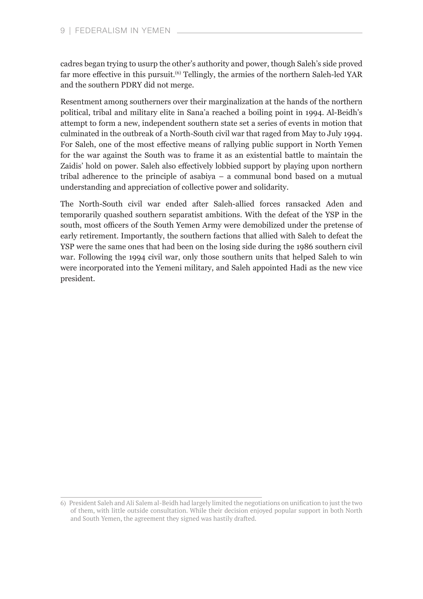cadres began trying to usurp the other's authority and power, though Saleh's side proved far more effective in this pursuit.(6) Tellingly, the armies of the northern Saleh-led YAR and the southern PDRY did not merge.

Resentment among southerners over their marginalization at the hands of the northern political, tribal and military elite in Sana'a reached a boiling point in 1994. Al-Beidh's attempt to form a new, independent southern state set a series of events in motion that culminated in the outbreak of a North-South civil war that raged from May to July 1994. For Saleh, one of the most effective means of rallying public support in North Yemen for the war against the South was to frame it as an existential battle to maintain the Zaidis' hold on power. Saleh also effectively lobbied support by playing upon northern tribal adherence to the principle of asabiya – a communal bond based on a mutual understanding and appreciation of collective power and solidarity.

The North-South civil war ended after Saleh-allied forces ransacked Aden and temporarily quashed southern separatist ambitions. With the defeat of the YSP in the south, most officers of the South Yemen Army were demobilized under the pretense of early retirement. Importantly, the southern factions that allied with Saleh to defeat the YSP were the same ones that had been on the losing side during the 1986 southern civil war. Following the 1994 civil war, only those southern units that helped Saleh to win were incorporated into the Yemeni military, and Saleh appointed Hadi as the new vice president.

<sup>6</sup>) President Saleh and Ali Salem al-Beidh had largely limited the negotiations on unification to just the two of them, with little outside consultation. While their decision enjoyed popular support in both North and South Yemen, the agreement they signed was hastily drafted.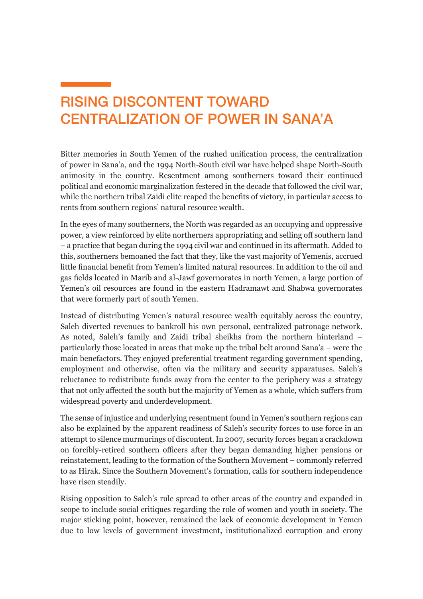### <span id="page-9-0"></span>RISING DISCONTENT TOWARD CENTRALIZATION OF POWER IN SANA'A

Bitter memories in South Yemen of the rushed unification process, the centralization of power in Sana'a, and the 1994 North-South civil war have helped shape North-South animosity in the country. Resentment among southerners toward their continued political and economic marginalization festered in the decade that followed the civil war, while the northern tribal Zaidi elite reaped the benefits of victory, in particular access to rents from southern regions' natural resource wealth.

In the eyes of many southerners, the North was regarded as an occupying and oppressive power, a view reinforced by elite northerners appropriating and selling off southern land – a practice that began during the 1994 civil war and continued in its aftermath. Added to this, southerners bemoaned the fact that they, like the vast majority of Yemenis, accrued little financial benefit from Yemen's limited natural resources. In addition to the oil and gas fields located in Marib and al-Jawf governorates in north Yemen, a large portion of Yemen's oil resources are found in the eastern Hadramawt and Shabwa governorates that were formerly part of south Yemen.

Instead of distributing Yemen's natural resource wealth equitably across the country, Saleh diverted revenues to bankroll his own personal, centralized patronage network. As noted, Saleh's family and Zaidi tribal sheikhs from the northern hinterland – particularly those located in areas that make up the tribal belt around Sana'a – were the main benefactors. They enjoyed preferential treatment regarding government spending, employment and otherwise, often via the military and security apparatuses. Saleh's reluctance to redistribute funds away from the center to the periphery was a strategy that not only affected the south but the majority of Yemen as a whole, which suffers from widespread poverty and underdevelopment.

The sense of injustice and underlying resentment found in Yemen's southern regions can also be explained by the apparent readiness of Saleh's security forces to use force in an attempt to silence murmurings of discontent. In 2007, security forces began a crackdown on forcibly-retired southern officers after they began demanding higher pensions or reinstatement, leading to the formation of the Southern Movement – commonly referred to as Hirak. Since the Southern Movement's formation, calls for southern independence have risen steadily.

Rising opposition to Saleh's rule spread to other areas of the country and expanded in scope to include social critiques regarding the role of women and youth in society. The major sticking point, however, remained the lack of economic development in Yemen due to low levels of government investment, institutionalized corruption and crony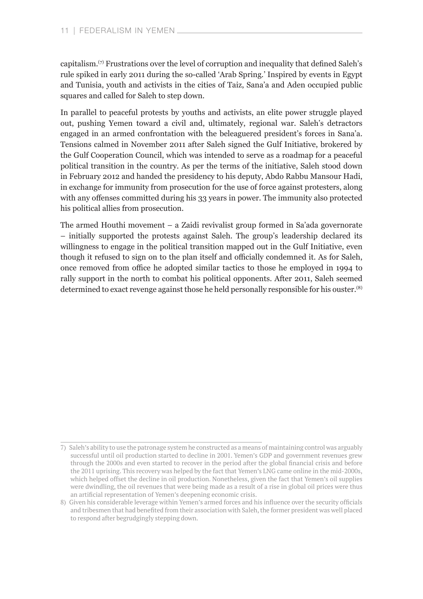capitalism.<sup>(7)</sup> Frustrations over the level of corruption and inequality that defined Saleh's rule spiked in early 2011 during the so-called 'Arab Spring.' Inspired by events in Egypt and Tunisia, youth and activists in the cities of Taiz, Sana'a and Aden occupied public squares and called for Saleh to step down.

In parallel to peaceful protests by youths and activists, an elite power struggle played out, pushing Yemen toward a civil and, ultimately, regional war. Saleh's detractors engaged in an armed confrontation with the beleaguered president's forces in Sana'a. Tensions calmed in November 2011 after Saleh signed the Gulf Initiative, brokered by the Gulf Cooperation Council, which was intended to serve as a roadmap for a peaceful political transition in the country. As per the terms of the initiative, Saleh stood down in February 2012 and handed the presidency to his deputy, Abdo Rabbu Mansour Hadi, in exchange for immunity from prosecution for the use of force against protesters, along with any offenses committed during his 33 years in power. The immunity also protected his political allies from prosecution.

The armed Houthi movement – a Zaidi revivalist group formed in Sa'ada governorate – initially supported the protests against Saleh. The group's leadership declared its willingness to engage in the political transition mapped out in the Gulf Initiative, even though it refused to sign on to the plan itself and officially condemned it. As for Saleh, once removed from office he adopted similar tactics to those he employed in 1994 to rally support in the north to combat his political opponents. After 2011, Saleh seemed determined to exact revenge against those he held personally responsible for his ouster.<sup>(8)</sup>

<sup>7)</sup> Saleh's ability to use the patronage system he constructed as a means of maintaining control was arguably successful until oil production started to decline in 2001. Yemen's GDP and government revenues grew through the 2000s and even started to recover in the period after the global financial crisis and before the 2011 uprising. This recovery was helped by the fact that Yemen's LNG came online in the mid-2000s, which helped offset the decline in oil production. Nonetheless, given the fact that Yemen's oil supplies were dwindling, the oil revenues that were being made as a result of a rise in global oil prices were thus an artificial representation of Yemen's deepening economic crisis.

<sup>8</sup>) Given his considerable leverage within Yemen's armed forces and his influence over the security officials and tribesmen that had benefited from their association with Saleh, the former president was well placed to respond after begrudgingly stepping down.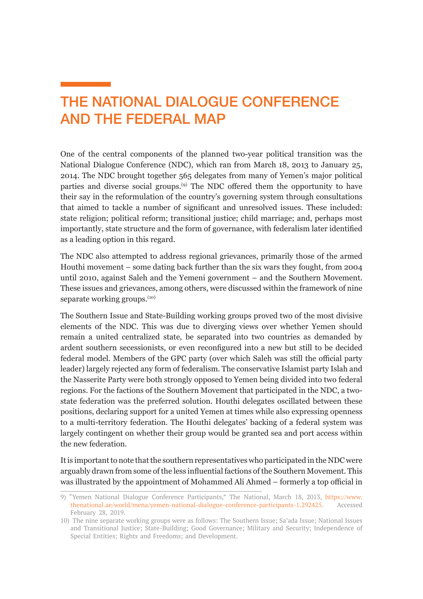### <span id="page-11-0"></span>THE NATIONAL DIALOGUE CONFERENCE AND THE FEDERAL MAP

One of the central components of the planned two-year political transition was the National Dialogue Conference (NDC), which ran from March 18, 2013 to January 25, 2014. The NDC brought together 565 delegates from many of Yemen's major political parties and diverse social groups.(9) The NDC offered them the opportunity to have their say in the reformulation of the country's governing system through consultations that aimed to tackle a number of significant and unresolved issues. These included: state religion; political reform; transitional justice; child marriage; and, perhaps most importantly, state structure and the form of governance, with federalism later identified as a leading option in this regard.

The NDC also attempted to address regional grievances, primarily those of the armed Houthi movement – some dating back further than the six wars they fought, from 2004 until 2010, against Saleh and the Yemeni government – and the Southern Movement. These issues and grievances, among others, were discussed within the framework of nine separate working groups.<sup>(10)</sup>

The Southern Issue and State-Building working groups proved two of the most divisive elements of the NDC. This was due to diverging views over whether Yemen should remain a united centralized state, be separated into two countries as demanded by ardent southern secessionists, or even reconfigured into a new but still to be decided federal model. Members of the GPC party (over which Saleh was still the official party leader) largely rejected any form of federalism. The conservative Islamist party Islah and the Nasserite Party were both strongly opposed to Yemen being divided into two federal regions. For the factions of the Southern Movement that participated in the NDC, a twostate federation was the preferred solution. Houthi delegates oscillated between these positions, declaring support for a united Yemen at times while also expressing openness to a multi-territory federation. The Houthi delegates' backing of a federal system was largely contingent on whether their group would be granted sea and port access within the new federation.

It is important to note that the southern representatives who participated in the NDC were arguably drawn from some of the less influential factions of the Southern Movement. This was illustrated by the appointment of Mohammed Ali Ahmed – formerly a top official in

<sup>9)</sup> "Yemen National Dialogue Conference Participants," The National, March 18, 2013, [https://www.](https://www.thenational.ae/world/mena/yemen-national-dialogue-conference-participants-1.292425) [thenational.ae/world/mena/yemen-national-dialogue-conference-participants-1.292425](https://www.thenational.ae/world/mena/yemen-national-dialogue-conference-participants-1.292425). Accessed February 28, 2019.

<sup>10)</sup> The nine separate working groups were as follows: The Southern Issue; Sa'ada Issue; National Issues and Transitional Justice; State-Building; Good Governance; Military and Security; Independence of Special Entities; Rights and Freedoms; and Development.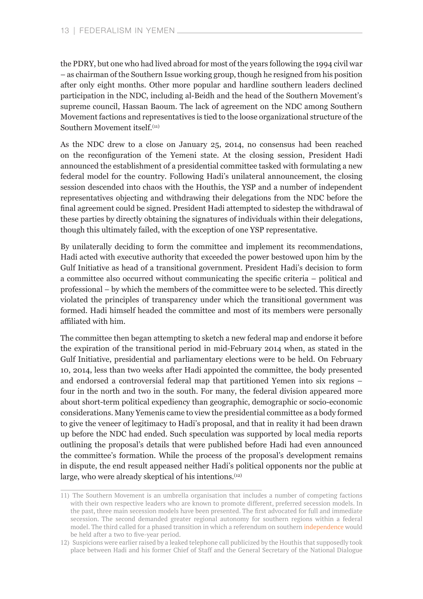the PDRY, but one who had lived abroad for most of the years following the 1994 civil war – as chairman of the Southern Issue working group, though he resigned from his position after only eight months. Other more popular and hardline southern leaders declined participation in the NDC, including al-Beidh and the head of the Southern Movement's supreme council, Hassan Baoum. The lack of agreement on the NDC among Southern Movement factions and representatives is tied to the loose organizational structure of the Southern Movement itself.<sup>(11)</sup>

As the NDC drew to a close on January 25, 2014, no consensus had been reached on the reconfiguration of the Yemeni state. At the closing session, President Hadi announced the establishment of a presidential committee tasked with formulating a new federal model for the country. Following Hadi's unilateral announcement, the closing session descended into chaos with the Houthis, the YSP and a number of independent representatives objecting and withdrawing their delegations from the NDC before the final agreement could be signed. President Hadi attempted to sidestep the withdrawal of these parties by directly obtaining the signatures of individuals within their delegations, though this ultimately failed, with the exception of one YSP representative.

By unilaterally deciding to form the committee and implement its recommendations, Hadi acted with executive authority that exceeded the power bestowed upon him by the Gulf Initiative as head of a transitional government. President Hadi's decision to form a committee also occurred without communicating the specific criteria – political and professional – by which the members of the committee were to be selected. This directly violated the principles of transparency under which the transitional government was formed. Hadi himself headed the committee and most of its members were personally affiliated with him.

The committee then began attempting to sketch a new federal map and endorse it before the expiration of the transitional period in mid-February 2014 when, as stated in the Gulf Initiative, presidential and parliamentary elections were to be held. On February 10, 2014, less than two weeks after Hadi appointed the committee, the body presented and endorsed a controversial federal map that partitioned Yemen into six regions – four in the north and two in the south. For many, the federal division appeared more about short-term political expediency than geographic, demographic or socio-economic considerations. Many Yemenis came to view the presidential committee as a body formed to give the veneer of legitimacy to Hadi's proposal, and that in reality it had been drawn up before the NDC had ended. Such speculation was supported by local media reports outlining the proposal's details that were published before Hadi had even announced the committee's formation. While the process of the proposal's development remains in dispute, the end result appeased neither Hadi's political opponents nor the public at large, who were already skeptical of his intentions.<sup>(12)</sup>

<sup>11)</sup> The Southern Movement is an umbrella organisation that includes a number of competing factions with their own respective leaders who are known to promote different, preferred secession models. In the past, three main secession models have been presented. The first advocated for full and immediate secession. The second demanded greater regional autonomy for southern regions within a federal model. The third called for a phased transition in which a referendum on southern [independence](https://www.crisisgroup.org/middle-east-north-africa/gulf-and-arabian-peninsula/yemen/yemen-s-southern-question-avoiding-breakdown) would be held after a two to five-year period.

<sup>12</sup>) Suspicions were earlier raised by a leaked telephone call publicized by the Houthis that supposedly took place between Hadi and his former Chief of Staff and the General Secretary of the National Dialogue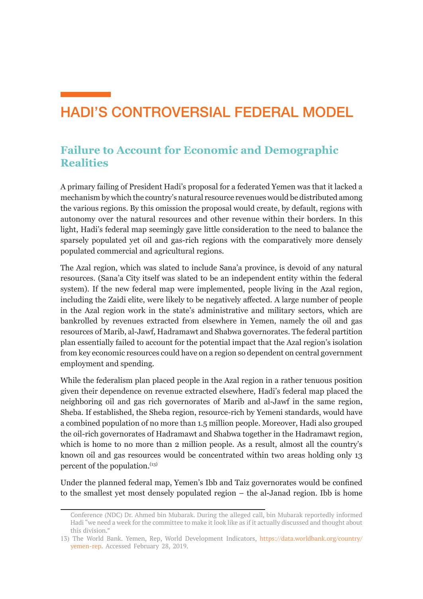### <span id="page-13-0"></span>HADI'S CONTROVERSIAL FEDERAL MODEL

#### **Failure to Account for Economic and Demographic Realities**

A primary failing of President Hadi's proposal for a federated Yemen was that it lacked a mechanism by which the country's natural resource revenues would be distributed among the various regions. By this omission the proposal would create, by default, regions with autonomy over the natural resources and other revenue within their borders. In this light, Hadi's federal map seemingly gave little consideration to the need to balance the sparsely populated yet oil and gas-rich regions with the comparatively more densely populated commercial and agricultural regions.

The Azal region, which was slated to include Sana'a province, is devoid of any natural resources. (Sana'a City itself was slated to be an independent entity within the federal system). If the new federal map were implemented, people living in the Azal region, including the Zaidi elite, were likely to be negatively affected. A large number of people in the Azal region work in the state's administrative and military sectors, which are bankrolled by revenues extracted from elsewhere in Yemen, namely the oil and gas resources of Marib, al-Jawf, Hadramawt and Shabwa governorates. The federal partition plan essentially failed to account for the potential impact that the Azal region's isolation from key economic resources could have on a region so dependent on central government employment and spending.

While the federalism plan placed people in the Azal region in a rather tenuous position given their dependence on revenue extracted elsewhere, Hadi's federal map placed the neighboring oil and gas rich governorates of Marib and al-Jawf in the same region, Sheba. If established, the Sheba region, resource-rich by Yemeni standards, would have a combined population of no more than 1.5 million people. Moreover, Hadi also grouped the oil-rich governorates of Hadramawt and Shabwa together in the Hadramawt region, which is home to no more than 2 million people. As a result, almost all the country's known oil and gas resources would be concentrated within two areas holding only 13 percent of the population.<sup>(13)</sup>

Under the planned federal map, Yemen's Ibb and Taiz governorates would be confined to the smallest yet most densely populated region – the al-Janad region. Ibb is home

Conference (NDC) Dr. Ahmed bin Mubarak. During the alleged call, bin Mubarak reportedly informed Hadi "we need a week for the committee to make it look like as if it actually discussed and thought about this division."

<sup>13)</sup> The World Bank. Yemen, Rep, World Development Indicators, [https://data.worldbank.org/country/](https://data.worldbank.org/country/yemen-rep) [yemen-rep.](https://data.worldbank.org/country/yemen-rep) Accessed February 28, 2019.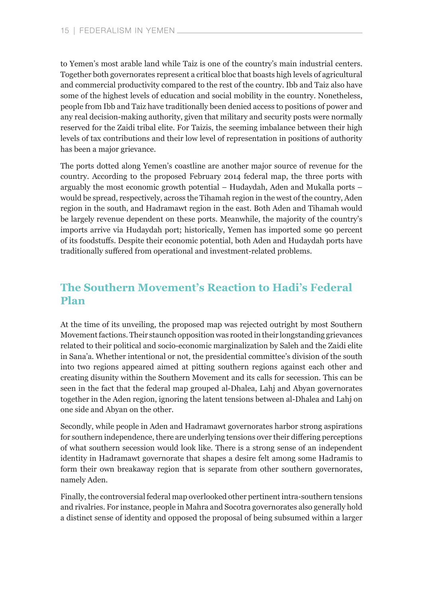<span id="page-14-0"></span>to Yemen's most arable land while Taiz is one of the country's main industrial centers. Together both governorates represent a critical bloc that boasts high levels of agricultural and commercial productivity compared to the rest of the country. Ibb and Taiz also have some of the highest levels of education and social mobility in the country. Nonetheless, people from Ibb and Taiz have traditionally been denied access to positions of power and any real decision-making authority, given that military and security posts were normally reserved for the Zaidi tribal elite. For Taizis, the seeming imbalance between their high levels of tax contributions and their low level of representation in positions of authority has been a major grievance.

The ports dotted along Yemen's coastline are another major source of revenue for the country. According to the proposed February 2014 federal map, the three ports with arguably the most economic growth potential – Hudaydah, Aden and Mukalla ports – would be spread, respectively, across the Tihamah region in the west of the country, Aden region in the south, and Hadramawt region in the east. Both Aden and Tihamah would be largely revenue dependent on these ports. Meanwhile, the majority of the country's imports arrive via Hudaydah port; historically, Yemen has imported some 90 percent of its foodstuffs. Despite their economic potential, both Aden and Hudaydah ports have traditionally suffered from operational and investment-related problems.

#### **The Southern Movement's Reaction to Hadi's Federal Plan**

At the time of its unveiling, the proposed map was rejected outright by most Southern Movement factions. Their staunch opposition was rooted in their longstanding grievances related to their political and socio-economic marginalization by Saleh and the Zaidi elite in Sana'a. Whether intentional or not, the presidential committee's division of the south into two regions appeared aimed at pitting southern regions against each other and creating disunity within the Southern Movement and its calls for secession. This can be seen in the fact that the federal map grouped al-Dhalea, Lahj and Abyan governorates together in the Aden region, ignoring the latent tensions between al-Dhalea and Lahj on one side and Abyan on the other.

Secondly, while people in Aden and Hadramawt governorates harbor strong aspirations for southern independence, there are underlying tensions over their differing perceptions of what southern secession would look like. There is a strong sense of an independent identity in Hadramawt governorate that shapes a desire felt among some Hadramis to form their own breakaway region that is separate from other southern governorates, namely Aden.

Finally, the controversial federal map overlooked other pertinent intra-southern tensions and rivalries. For instance, people in Mahra and Socotra governorates also generally hold a distinct sense of identity and opposed the proposal of being subsumed within a larger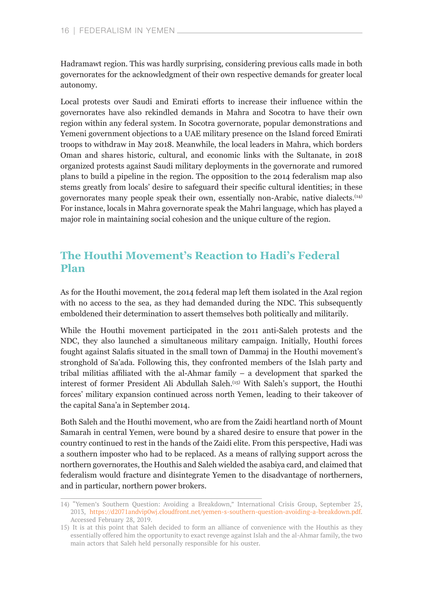<span id="page-15-0"></span>Hadramawt region. This was hardly surprising, considering previous calls made in both governorates for the acknowledgment of their own respective demands for greater local autonomy.

Local protests over Saudi and Emirati efforts to increase their influence within the governorates have also rekindled demands in Mahra and Socotra to have their own region within any federal system. In Socotra governorate, popular demonstrations and Yemeni government objections to a UAE military presence on the Island forced Emirati troops to withdraw in May 2018. Meanwhile, the local leaders in Mahra, which borders Oman and shares historic, cultural, and economic links with the Sultanate, in 2018 organized protests against Saudi military deployments in the governorate and rumored plans to build a pipeline in the region. The opposition to the 2014 federalism map also stems greatly from locals' desire to safeguard their specific cultural identities; in these governorates many people speak their own, essentially non-Arabic, native dialects.(14) For instance, locals in Mahra governorate speak the Mahri language, which has played a major role in maintaining social cohesion and the unique culture of the region.

#### **The Houthi Movement's Reaction to Hadi's Federal Plan**

As for the Houthi movement, the 2014 federal map left them isolated in the Azal region with no access to the sea, as they had demanded during the NDC. This subsequently emboldened their determination to assert themselves both politically and militarily.

While the Houthi movement participated in the 2011 anti-Saleh protests and the NDC, they also launched a simultaneous military campaign. Initially, Houthi forces fought against Salafis situated in the small town of Dammaj in the Houthi movement's stronghold of Sa'ada. Following this, they confronted members of the Islah party and tribal militias affiliated with the al-Ahmar family – a development that sparked the interest of former President Ali Abdullah Saleh.(15) With Saleh's support, the Houthi forces' military expansion continued across north Yemen, leading to their takeover of the capital Sana'a in September 2014.

Both Saleh and the Houthi movement, who are from the Zaidi heartland north of Mount Samarah in central Yemen, were bound by a shared desire to ensure that power in the country continued to rest in the hands of the Zaidi elite. From this perspective, Hadi was a southern imposter who had to be replaced. As a means of rallying support across the northern governorates, the Houthis and Saleh wielded the asabiya card, and claimed that federalism would fracture and disintegrate Yemen to the disadvantage of northerners, and in particular, northern power brokers.

<sup>14)</sup> "Yemen's Southern Question: Avoiding a Breakdown," International Crisis Group, September 25, 2013, [https://d2071andvip0wj.cloudfront.net/yemen-s-southern-question-avoiding-a-breakdown.pdf.](https://d2071andvip0wj.cloudfront.net/yemen-s-southern-question-avoiding-a-breakdown.pdf) Accessed February 28, 2019.

<sup>15)</sup> It is at this point that Saleh decided to form an alliance of convenience with the Houthis as they essentially offered him the opportunity to exact revenge against Islah and the al-Ahmar family, the two main actors that Saleh held personally responsible for his ouster.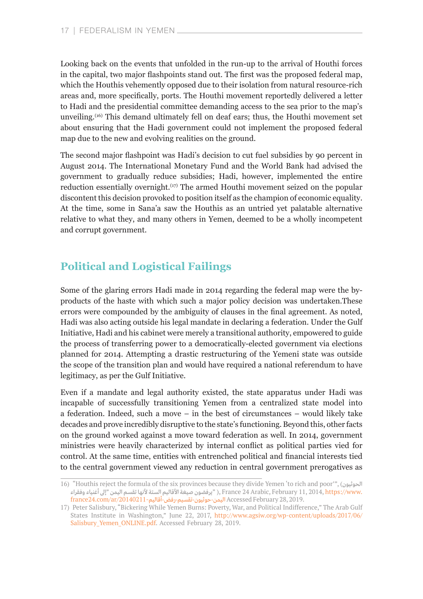<span id="page-16-0"></span>Looking back on the events that unfolded in the run-up to the arrival of Houthi forces in the capital, two major flashpoints stand out. The first was the proposed federal map, which the Houthis vehemently opposed due to their isolation from natural resource-rich areas and, more specifically, ports. The Houthi movement reportedly delivered a letter to Hadi and the presidential committee demanding access to the sea prior to the map's unveiling.<sup>(16)</sup> This demand ultimately fell on deaf ears; thus, the Houthi movement set about ensuring that the Hadi government could not implement the proposed federal map due to the new and evolving realities on the ground.

The second major flashpoint was Hadi's decision to cut fuel subsidies by 90 percent in August 2014. The International Monetary Fund and the World Bank had advised the government to gradually reduce subsidies; Hadi, however, implemented the entire reduction essentially overnight.<sup>(17)</sup> The armed Houthi movement seized on the popular discontent this decision provoked to position itself as the champion of economic equality. At the time, some in Sana'a saw the Houthis as an untried yet palatable alternative relative to what they, and many others in Yemen, deemed to be a wholly incompetent and corrupt government.

#### **Political and Logistical Failings**

Some of the glaring errors Hadi made in 2014 regarding the federal map were the byproducts of the haste with which such a major policy decision was undertaken.These errors were compounded by the ambiguity of clauses in the final agreement. As noted, Hadi was also acting outside his legal mandate in declaring a federation. Under the Gulf Initiative, Hadi and his cabinet were merely a transitional authority, empowered to guide the process of transferring power to a democratically-elected government via elections planned for 2014. Attempting a drastic restructuring of the Yemeni state was outside the scope of the transition plan and would have required a national referendum to have legitimacy, as per the Gulf Initiative.

Even if a mandate and legal authority existed, the state apparatus under Hadi was incapable of successfully transitioning Yemen from a centralized state model into a federation. Indeed, such a move – in the best of circumstances – would likely take decades and prove incredibly disruptive to the state's functioning. Beyond this, other facts on the ground worked against a move toward federation as well. In 2014, government ministries were heavily characterized by internal conflict as political parties vied for control. At the same time, entities with entrenched political and financial interests tied to the central government viewed any reduction in central government prerogatives as

<sup>16)</sup> "Houthis reject the formula of the six provinces because they divide Yemen 'to rich and poor'", (الحوثيون [.www://https](https://www.france24.com/ar/20140211-%D8%A7%D9%84%D9%8A%D9%85%D9%86-%D8%AD%D9%88%D8%AB%D9%8A%D9%88%D9%86-%D8%AA%D9%82%D8%B3%D9%8A%D9%85-%D8%B1%D9%81%D8%B6-%D8%A3%D9%82%D8%A7%D9%84%D9%8A%D9%85) 2014, 11, February ,Arabic 24 France ," )يرفضون صيغة األقاليم الستة ألنها تقسم اليمن "إىل أغنياء وفقراء france24.com/ar/20140211-ماليمن-حوثيون-تقسيم-رفض-أقاليم) france24.com/ar/20140211-

<sup>17)</sup> Peter Salisbury, "Bickering While Yemen Burns: Poverty, War, and Political Indifference," The Arab Gulf States Institute in Washington," June 22, 2017, [http://www.agsiw.org/wp-content/uploads/2017/06/](http://www.agsiw.org/wp-content/uploads/2017/06/Salisbury_Yemen_ONLINE.pdf) Salisbury Yemen ONLINE.pdf. Accessed February 28, 2019.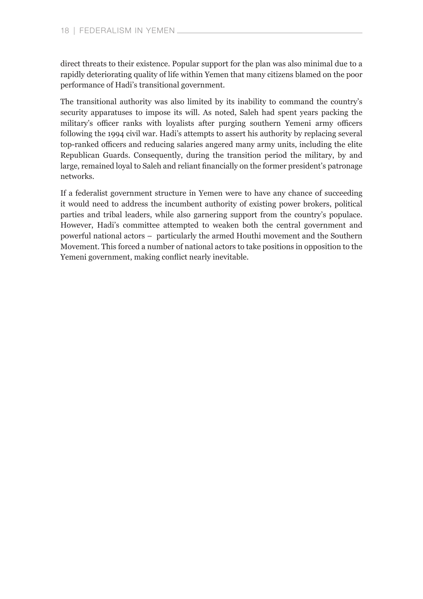direct threats to their existence. Popular support for the plan was also minimal due to a rapidly deteriorating quality of life within Yemen that many citizens blamed on the poor performance of Hadi's transitional government.

The transitional authority was also limited by its inability to command the country's security apparatuses to impose its will. As noted, Saleh had spent years packing the military's officer ranks with loyalists after purging southern Yemeni army officers following the 1994 civil war. Hadi's attempts to assert his authority by replacing several top-ranked officers and reducing salaries angered many army units, including the elite Republican Guards. Consequently, during the transition period the military, by and large, remained loyal to Saleh and reliant financially on the former president's patronage networks.

If a federalist government structure in Yemen were to have any chance of succeeding it would need to address the incumbent authority of existing power brokers, political parties and tribal leaders, while also garnering support from the country's populace. However, Hadi's committee attempted to weaken both the central government and powerful national actors – particularly the armed Houthi movement and the Southern Movement. This forced a number of national actors to take positions in opposition to the Yemeni government, making conflict nearly inevitable.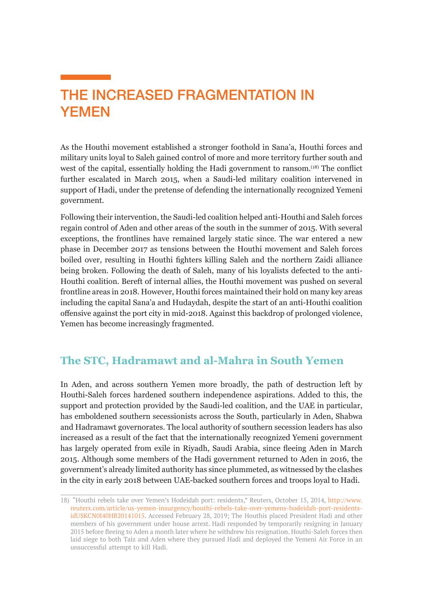### <span id="page-18-0"></span>THE INCREASED FRAGMENTATION IN YEMEN

As the Houthi movement established a stronger foothold in Sana'a, Houthi forces and military units loyal to Saleh gained control of more and more territory further south and west of the capital, essentially holding the Hadi government to ransom.<sup>(18)</sup> The conflict further escalated in March 2015, when a Saudi-led military coalition intervened in support of Hadi, under the pretense of defending the internationally recognized Yemeni government.

Following their intervention, the Saudi-led coalition helped anti-Houthi and Saleh forces regain control of Aden and other areas of the south in the summer of 2015. With several exceptions, the frontlines have remained largely static since. The war entered a new phase in December 2017 as tensions between the Houthi movement and Saleh forces boiled over, resulting in Houthi fighters killing Saleh and the northern Zaidi alliance being broken. Following the death of Saleh, many of his loyalists defected to the anti-Houthi coalition. Bereft of internal allies, the Houthi movement was pushed on several frontline areas in 2018. However, Houthi forces maintained their hold on many key areas including the capital Sana'a and Hudaydah, despite the start of an anti-Houthi coalition offensive against the port city in mid-2018. Against this backdrop of prolonged violence, Yemen has become increasingly fragmented.

#### **The STC, Hadramawt and al-Mahra in South Yemen**

In Aden, and across southern Yemen more broadly, the path of destruction left by Houthi-Saleh forces hardened southern independence aspirations. Added to this, the support and protection provided by the Saudi-led coalition, and the UAE in particular, has emboldened southern secessionists across the South, particularly in Aden, Shabwa and Hadramawt governorates. The local authority of southern secession leaders has also increased as a result of the fact that the internationally recognized Yemeni government has largely operated from exile in Riyadh, Saudi Arabia, since fleeing Aden in March 2015. Although some members of the Hadi government returned to Aden in 2016, the government's already limited authority has since plummeted, as witnessed by the clashes in the city in early 2018 between UAE-backed southern forces and troops loyal to Hadi.

<sup>18)</sup> "Houthi rebels take over Yemen's Hodeidah port: residents," Reuters, October 15, 2014, [http://www.](http://www.reuters.com/article/us-yemen-insurgency/houthi-rebels-take-over-yemens-hodeidah-port-resi) [reuters.com/article/us-yemen-insurgency/houthi-rebels-take-over-yemens-hodeidah-port-residents](http://www.reuters.com/article/us-yemen-insurgency/houthi-rebels-take-over-yemens-hodeidah-port-resi)[idUSKCN0I40HB20141015.](http://www.reuters.com/article/us-yemen-insurgency/houthi-rebels-take-over-yemens-hodeidah-port-resi) Accessed February 28, 2019; The Houthis placed President Hadi and other members of his government under house arrest. Hadi responded by temporarily resigning in January 2015 before fleeing to Aden a month later where he withdrew his resignation. Houthi-Saleh forces then laid siege to both Taiz and Aden where they pursued Hadi and deployed the Yemeni Air Force in an unsuccessful attempt to kill Hadi.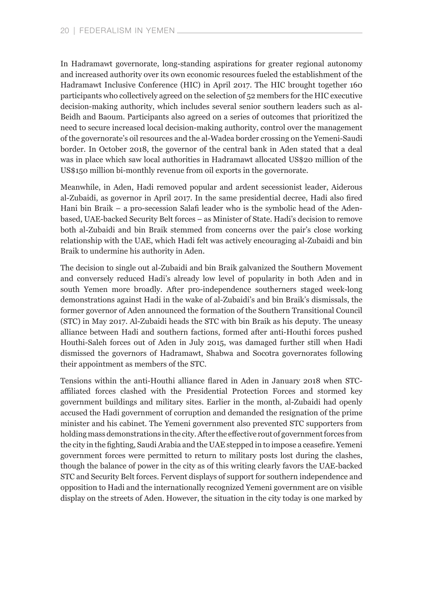In Hadramawt governorate, long-standing aspirations for greater regional autonomy and increased authority over its own economic resources fueled the establishment of the Hadramawt Inclusive Conference (HIC) in April 2017. The HIC brought together 160 participants who collectively agreed on the selection of 52 members for the HIC executive decision-making authority, which includes several senior southern leaders such as al-Beidh and Baoum. Participants also agreed on a series of outcomes that prioritized the need to secure increased local decision-making authority, control over the management of the governorate's oil resources and the al-Wadea border crossing on the Yemeni-Saudi border. In October 2018, the governor of the central bank in Aden stated that a deal was in place which saw local authorities in Hadramawt allocated US\$20 million of the US\$150 million bi-monthly revenue from oil exports in the governorate.

Meanwhile, in Aden, Hadi removed popular and ardent secessionist leader, Aiderous al-Zubaidi, as governor in April 2017. In the same presidential decree, Hadi also fired Hani bin Braik – a pro-secession Salafi leader who is the symbolic head of the Adenbased, UAE-backed Security Belt forces – as Minister of State. Hadi's decision to remove both al-Zubaidi and bin Braik stemmed from concerns over the pair's close working relationship with the UAE, which Hadi felt was actively encouraging al-Zubaidi and bin Braik to undermine his authority in Aden.

The decision to single out al-Zubaidi and bin Braik galvanized the Southern Movement and conversely reduced Hadi's already low level of popularity in both Aden and in south Yemen more broadly. After pro-independence southerners staged week-long demonstrations against Hadi in the wake of al-Zubaidi's and bin Braik's dismissals, the former governor of Aden announced the formation of the Southern Transitional Council (STC) in May 2017. Al-Zubaidi heads the STC with bin Braik as his deputy. The uneasy alliance between Hadi and southern factions, formed after anti-Houthi forces pushed Houthi-Saleh forces out of Aden in July 2015, was damaged further still when Hadi dismissed the governors of Hadramawt, Shabwa and Socotra governorates following their appointment as members of the STC.

Tensions within the anti-Houthi alliance flared in Aden in January 2018 when STCaffiliated forces clashed with the Presidential Protection Forces and stormed key government buildings and military sites. Earlier in the month, al-Zubaidi had openly accused the Hadi government of corruption and demanded the resignation of the prime minister and his cabinet. The Yemeni government also prevented STC supporters from holding mass demonstrations in the city. After the effective rout of government forces from the city in the fighting, Saudi Arabia and the UAE stepped in to impose a ceasefire. Yemeni government forces were permitted to return to military posts lost during the clashes, though the balance of power in the city as of this writing clearly favors the UAE-backed STC and Security Belt forces. Fervent displays of support for southern independence and opposition to Hadi and the internationally recognized Yemeni government are on visible display on the streets of Aden. However, the situation in the city today is one marked by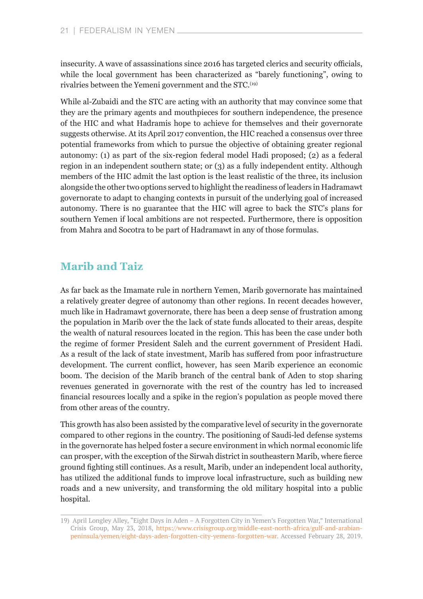<span id="page-20-0"></span>insecurity. A wave of assassinations since 2016 has targeted clerics and security officials, while the local government has been characterized as "barely functioning", owing to rivalries between the Yemeni government and the STC.<sup>(19)</sup>

While al-Zubaidi and the STC are acting with an authority that may convince some that they are the primary agents and mouthpieces for southern independence, the presence of the HIC and what Hadramis hope to achieve for themselves and their governorate suggests otherwise. At its April 2017 convention, the HIC reached a consensus over three potential frameworks from which to pursue the objective of obtaining greater regional autonomy: (1) as part of the six-region federal model Hadi proposed; (2) as a federal region in an independent southern state; or (3) as a fully independent entity. Although members of the HIC admit the last option is the least realistic of the three, its inclusion alongside the other two options served to highlight the readiness of leaders in Hadramawt governorate to adapt to changing contexts in pursuit of the underlying goal of increased autonomy. There is no guarantee that the HIC will agree to back the STC's plans for southern Yemen if local ambitions are not respected. Furthermore, there is opposition from Mahra and Socotra to be part of Hadramawt in any of those formulas.

#### **Marib and Taiz**

As far back as the Imamate rule in northern Yemen, Marib governorate has maintained a relatively greater degree of autonomy than other regions. In recent decades however, much like in Hadramawt governorate, there has been a deep sense of frustration among the population in Marib over the the lack of state funds allocated to their areas, despite the wealth of natural resources located in the region. This has been the case under both the regime of former President Saleh and the current government of President Hadi. As a result of the lack of state investment, Marib has suffered from poor infrastructure development. The current conflict, however, has seen Marib experience an economic boom. The decision of the Marib branch of the central bank of Aden to stop sharing revenues generated in governorate with the rest of the country has led to increased financial resources locally and a spike in the region's population as people moved there from other areas of the country.

This growth has also been assisted by the comparative level of security in the governorate compared to other regions in the country. The positioning of Saudi-led defense systems in the governorate has helped foster a secure environment in which normal economic life can prosper, with the exception of the Sirwah district in southeastern Marib, where fierce ground fighting still continues. As a result, Marib, under an independent local authority, has utilized the additional funds to improve local infrastructure, such as building new roads and a new university, and transforming the old military hospital into a public hospital.

<sup>19</sup>) April Longley Alley, "Eight Days in Aden – A Forgotten City in Yemen's Forgotten War," International Crisis Group, May 23, 2018, [https://www.crisisgroup.org/middle-east-north-africa/gulf-and-arabian](https://www.crisisgroup.org/middle-east-north-africa/gulf-and-arabian-peninsula/yemen/eight-days-ade)[peninsula/yemen/eight-days-aden-forgotten-city-yemens-forgotten-war.](https://www.crisisgroup.org/middle-east-north-africa/gulf-and-arabian-peninsula/yemen/eight-days-ade) Accessed February 28, 2019.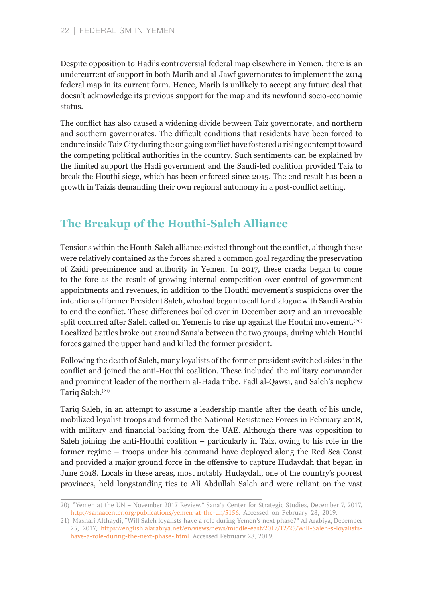<span id="page-21-0"></span>Despite opposition to Hadi's controversial federal map elsewhere in Yemen, there is an undercurrent of support in both Marib and al-Jawf governorates to implement the 2014 federal map in its current form. Hence, Marib is unlikely to accept any future deal that doesn't acknowledge its previous support for the map and its newfound socio-economic status.

The conflict has also caused a widening divide between Taiz governorate, and northern and southern governorates. The difficult conditions that residents have been forced to endure inside Taiz City during the ongoing conflict have fostered a rising contempt toward the competing political authorities in the country. Such sentiments can be explained by the limited support the Hadi government and the Saudi-led coalition provided Taiz to break the Houthi siege, which has been enforced since 2015. The end result has been a growth in Taizis demanding their own regional autonomy in a post-conflict setting.

#### **The Breakup of the Houthi-Saleh Alliance**

Tensions within the Houth-Saleh alliance existed throughout the conflict, although these were relatively contained as the forces shared a common goal regarding the preservation of Zaidi preeminence and authority in Yemen. In 2017, these cracks began to come to the fore as the result of growing internal competition over control of government appointments and revenues, in addition to the Houthi movement's suspicions over the intentions of former President Saleh, who had begun to call for dialogue with Saudi Arabia to end the conflict. These differences boiled over in December 2017 and an irrevocable split occurred after Saleh called on Yemenis to rise up against the Houthi movement.<sup>(20)</sup> Localized battles broke out around Sana'a between the two groups, during which Houthi forces gained the upper hand and killed the former president.

Following the death of Saleh, many loyalists of the former president switched sides in the conflict and joined the anti-Houthi coalition. These included the military commander and prominent leader of the northern al-Hada tribe, Fadl al-Qawsi, and Saleh's nephew Tariq Saleh.<sup>(21)</sup>

Tariq Saleh, in an attempt to assume a leadership mantle after the death of his uncle, mobilized loyalist troops and formed the National Resistance Forces in February 2018, with military and financial backing from the UAE. Although there was opposition to Saleh joining the anti-Houthi coalition – particularly in Taiz, owing to his role in the former regime – troops under his command have deployed along the Red Sea Coast and provided a major ground force in the offensive to capture Hudaydah that began in June 2018. Locals in these areas, most notably Hudaydah, one of the country's poorest provinces, held longstanding ties to Ali Abdullah Saleh and were reliant on the vast

<sup>20)</sup> "Yemen at the UN – November 2017 Review," Sana'a Center for Strategic Studies, December 7, 2017, <http://sanaacenter.org/publications/yemen-at-the-un/5156>. Accessed on February 28, 2019.

<sup>21)</sup> Mashari Althaydi, "Will Saleh loyalists have a role during Yemen's next phase?" Al Arabiya, December 25, 2017, [https://english.alarabiya.net/en/views/news/middle-east/2017/12/25/Will-Saleh-s-loyalists](https://english.alarabiya.net/en/views/news/middle-east/2017/12/25/Will-Saleh-s-loyalists-have-a-rol)[have-a-role-during-the-next-phase-.html](https://english.alarabiya.net/en/views/news/middle-east/2017/12/25/Will-Saleh-s-loyalists-have-a-rol). Accessed February 28, 2019.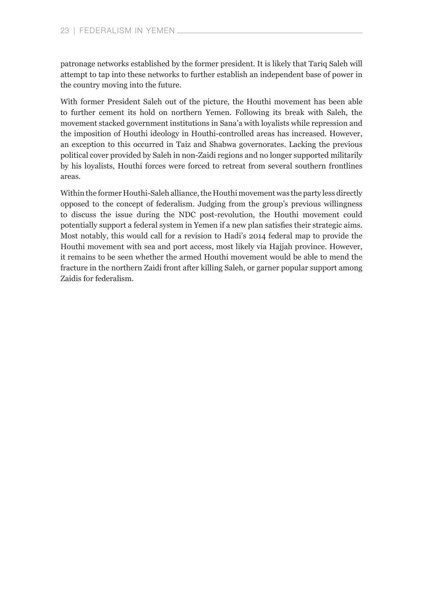patronage networks established by the former president. It is likely that Tariq Saleh will attempt to tap into these networks to further establish an independent base of power in the country moving into the future.

With former President Saleh out of the picture, the Houthi movement has been able to further cement its hold on northern Yemen. Following its break with Saleh, the movement stacked government institutions in Sana'a with loyalists while repression and the imposition of Houthi ideology in Houthi-controlled areas has increased. However, an exception to this occurred in Taiz and Shabwa governorates. Lacking the previous political cover provided by Saleh in non-Zaidi regions and no longer supported militarily by his loyalists, Houthi forces were forced to retreat from several southern frontlines areas.

Within the former Houthi-Saleh alliance, the Houthi movement was the party less directly opposed to the concept of federalism. Judging from the group's previous willingness to discuss the issue during the NDC post-revolution, the Houthi movement could potentially support a federal system in Yemen if a new plan satisfies their strategic aims. Most notably, this would call for a revision to Hadi's 2014 federal map to provide the Houthi movement with sea and port access, most likely via Hajjah province. However, it remains to be seen whether the armed Houthi movement would be able to mend the fracture in the northern Zaidi front after killing Saleh, or garner popular support among Zaidis for federalism.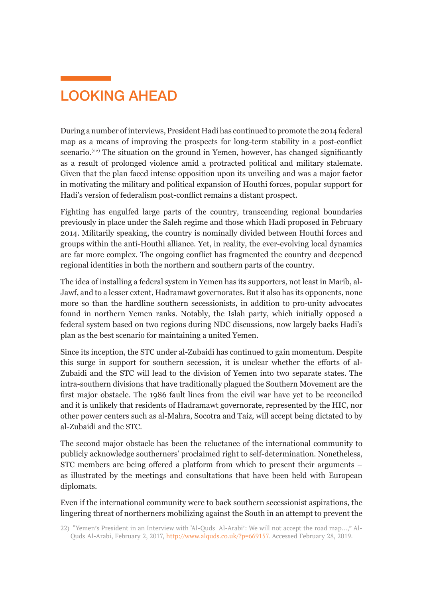### <span id="page-23-0"></span>LOOKING AHEAD

During a number of interviews, President Hadi has continued to promote the 2014 federal map as a means of improving the prospects for long-term stability in a post-conflict scenario.<sup> $(22)$ </sup> The situation on the ground in Yemen, however, has changed significantly as a result of prolonged violence amid a protracted political and military stalemate. Given that the plan faced intense opposition upon its unveiling and was a major factor in motivating the military and political expansion of Houthi forces, popular support for Hadi's version of federalism post-conflict remains a distant prospect.

Fighting has engulfed large parts of the country, transcending regional boundaries previously in place under the Saleh regime and those which Hadi proposed in February 2014. Militarily speaking, the country is nominally divided between Houthi forces and groups within the anti-Houthi alliance. Yet, in reality, the ever-evolving local dynamics are far more complex. The ongoing conflict has fragmented the country and deepened regional identities in both the northern and southern parts of the country.

The idea of installing a federal system in Yemen has its supporters, not least in Marib, al-Jawf, and to a lesser extent, Hadramawt governorates. But it also has its opponents, none more so than the hardline southern secessionists, in addition to pro-unity advocates found in northern Yemen ranks. Notably, the Islah party, which initially opposed a federal system based on two regions during NDC discussions, now largely backs Hadi's plan as the best scenario for maintaining a united Yemen.

Since its inception, the STC under al-Zubaidi has continued to gain momentum. Despite this surge in support for southern secession, it is unclear whether the efforts of al-Zubaidi and the STC will lead to the division of Yemen into two separate states. The intra-southern divisions that have traditionally plagued the Southern Movement are the first major obstacle. The 1986 fault lines from the civil war have yet to be reconciled and it is unlikely that residents of Hadramawt governorate, represented by the HIC, nor other power centers such as al-Mahra, Socotra and Taiz, will accept being dictated to by al-Zubaidi and the STC.

The second major obstacle has been the reluctance of the international community to publicly acknowledge southerners' proclaimed right to self-determination. Nonetheless, STC members are being offered a platform from which to present their arguments – as illustrated by the meetings and consultations that have been held with European diplomats.

Even if the international community were to back southern secessionist aspirations, the lingering threat of northerners mobilizing against the South in an attempt to prevent the

<sup>22)</sup> "Yemen's President in an Interview with 'Al-Quds Al-Arabi': We will not accept the road map…," Al-Quds Al-Arabi, February 2, 2017, [http://www.alquds.co.uk/?p=669157.](http://www.alquds.co.uk/?p=669157) Accessed February 28, 2019.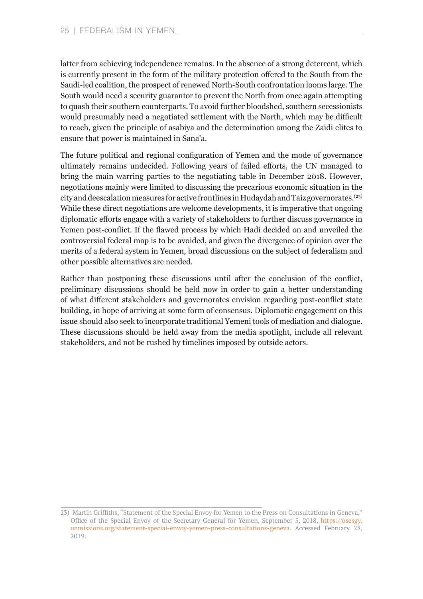latter from achieving independence remains. In the absence of a strong deterrent, which is currently present in the form of the military protection offered to the South from the Saudi-led coalition, the prospect of renewed North-South confrontation looms large. The South would need a security guarantor to prevent the North from once again attempting to quash their southern counterparts. To avoid further bloodshed, southern secessionists would presumably need a negotiated settlement with the North, which may be difficult to reach, given the principle of asabiya and the determination among the Zaidi elites to ensure that power is maintained in Sana'a.

The future political and regional configuration of Yemen and the mode of governance ultimately remains undecided. Following years of failed efforts, the UN managed to bring the main warring parties to the negotiating table in December 2018. However, negotiations mainly were limited to discussing the precarious economic situation in the city and deescalation measures for active frontlines in Hudaydah and Taiz governorates.(23) While these direct negotiations are welcome developments, it is imperative that ongoing diplomatic efforts engage with a variety of stakeholders to further discuss governance in Yemen post-conflict. If the flawed process by which Hadi decided on and unveiled the controversial federal map is to be avoided, and given the divergence of opinion over the merits of a federal system in Yemen, broad discussions on the subject of federalism and other possible alternatives are needed.

Rather than postponing these discussions until after the conclusion of the conflict, preliminary discussions should be held now in order to gain a better understanding of what different stakeholders and governorates envision regarding post-conflict state building, in hope of arriving at some form of consensus. Diplomatic engagement on this issue should also seek to incorporate traditional Yemeni tools of mediation and dialogue. These discussions should be held away from the media spotlight, include all relevant stakeholders, and not be rushed by timelines imposed by outside actors.

<sup>23</sup>) Martin Griffiths, "Statement of the Special Envoy for Yemen to the Press on Consultations in Geneva," Office of the Special Envoy of the Secretary-General for Yemen, September 5, 2018, [https://osesgy.](https://osesgy.unmissions.org/statement-special-envoy-yemen-press-consultations-geneva) [unmissions.org/statement-special-envoy-yemen-press-consultations-geneva.](https://osesgy.unmissions.org/statement-special-envoy-yemen-press-consultations-geneva) Accessed February 28, 2019.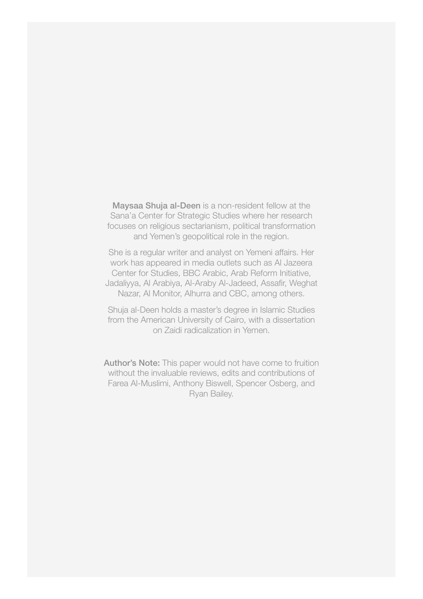Maysaa Shuja al-Deen is a non-resident fellow at the Sana'a Center for Strategic Studies where her research focuses on religious sectarianism, political transformation and Yemen's geopolitical role in the region.

She is a regular writer and analyst on Yemeni affairs. Her work has appeared in media outlets such as Al Jazeera Center for Studies, BBC Arabic, Arab Reform Initiative, Jadaliyya, Al Arabiya, Al-Araby Al-Jadeed, Assafir, Weghat Nazar, Al Monitor, Alhurra and CBC, among others.

Shuja al-Deen holds a master's degree in Islamic Studies from the American University of Cairo, with a dissertation on Zaidi radicalization in Yemen.

Author's Note: This paper would not have come to fruition without the invaluable reviews, edits and contributions of Farea Al-Muslimi, Anthony Biswell, Spencer Osberg, and Ryan Bailey.